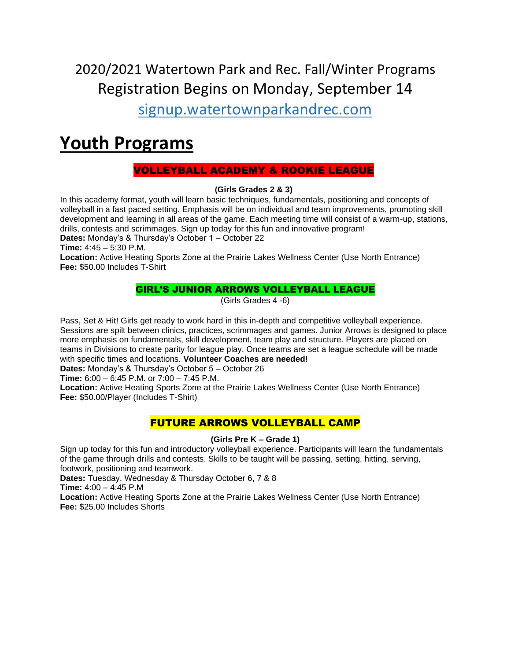2020/2021 Watertown Park and Rec. Fall/Winter Programs Registration Begins on Monday, September 14

signup.watertownparkandrec.com

## **Youth Programs**

## VOLLEYBALL ACADEMY & ROOKIE LEAGUE

#### **(Girls Grades 2 & 3)**

In this academy format, youth will learn basic techniques, fundamentals, positioning and concepts of volleyball in a fast paced setting. Emphasis will be on individual and team improvements, promoting skill development and learning in all areas of the game. Each meeting time will consist of a warm-up, stations, drills, contests and scrimmages. Sign up today for this fun and innovative program!

**Dates:** Monday's & Thursday's October 1 – October 22

**Time:** 4:45 – 5:30 P.M.

**Location:** Active Heating Sports Zone at the Prairie Lakes Wellness Center (Use North Entrance) **Fee:** \$50.00 Includes T-Shirt

## GIRL'S JUNIOR ARROWS VOLLEYBALL LEAGUE

(Girls Grades 4 -6)

Pass, Set & Hit! Girls get ready to work hard in this in-depth and competitive volleyball experience. Sessions are spilt between clinics, practices, scrimmages and games. Junior Arrows is designed to place more emphasis on fundamentals, skill development, team play and structure. Players are placed on teams in Divisions to create parity for league play. Once teams are set a league schedule will be made with specific times and locations. **Volunteer Coaches are needed!**

**Dates:** Monday's & Thursday's October 5 – October 26

**Time:** 6:00 – 6:45 P.M. or 7:00 – 7:45 P.M.

**Location:** Active Heating Sports Zone at the Prairie Lakes Wellness Center (Use North Entrance) **Fee:** \$50.00/Player (Includes T-Shirt)

## FUTURE ARROWS VOLLEYBALL CAMP

#### **(Girls Pre K – Grade 1)**

Sign up today for this fun and introductory volleyball experience. Participants will learn the fundamentals of the game through drills and contests. Skills to be taught will be passing, setting, hitting, serving, footwork, positioning and teamwork.

**Dates:** Tuesday, Wednesday & Thursday October 6, 7 & 8

**Time:** 4:00 – 4:45 P.M

**Location:** Active Heating Sports Zone at the Prairie Lakes Wellness Center (Use North Entrance) **Fee:** \$25.00 Includes Shorts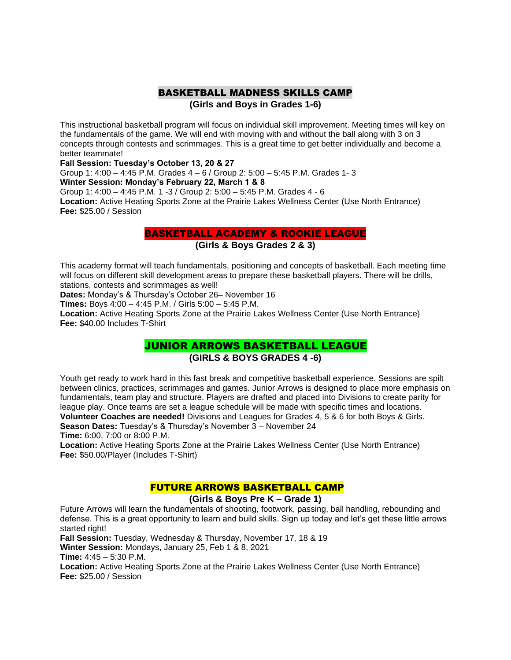#### BASKETBALL MADNESS SKILLS CAMP **(Girls and Boys in Grades 1-6)**

This instructional basketball program will focus on individual skill improvement. Meeting times will key on the fundamentals of the game. We will end with moving with and without the ball along with 3 on 3 concepts through contests and scrimmages. This is a great time to get better individually and become a better teammate!

**Fall Session: Tuesday's October 13, 20 & 27**

Group 1: 4:00 – 4:45 P.M. Grades 4 – 6 / Group 2: 5:00 – 5:45 P.M. Grades 1- 3 **Winter Session: Monday's February 22, March 1 & 8** 

Group 1: 4:00 – 4:45 P.M. 1 -3 / Group 2: 5:00 – 5:45 P.M. Grades 4 - 6 **Location:** Active Heating Sports Zone at the Prairie Lakes Wellness Center (Use North Entrance) **Fee:** \$25.00 / Session

#### BASKETBALL ACADEMY & ROOKIE LEAGUE

#### **(Girls & Boys Grades 2 & 3)**

This academy format will teach fundamentals, positioning and concepts of basketball. Each meeting time will focus on different skill development areas to prepare these basketball players. There will be drills, stations, contests and scrimmages as well!

**Dates:** Monday's & Thursday's October 26– November 16

**Times:** Boys 4:00 – 4:45 P.M. / Girls 5:00 – 5:45 P.M.

**Location:** Active Heating Sports Zone at the Prairie Lakes Wellness Center (Use North Entrance) **Fee:** \$40.00 Includes T-Shirt

### JUNIOR ARROWS BASKETBALL LEAGUE **(GIRLS & BOYS GRADES 4 -6)**

Youth get ready to work hard in this fast break and competitive basketball experience. Sessions are spilt between clinics, practices, scrimmages and games. Junior Arrows is designed to place more emphasis on fundamentals, team play and structure. Players are drafted and placed into Divisions to create parity for league play. Once teams are set a league schedule will be made with specific times and locations. **Volunteer Coaches are needed!** Divisions and Leagues for Grades 4, 5 & 6 for both Boys & Girls.

**Season Dates:** Tuesday's & Thursday's November 3 – November 24 **Time:** 6:00, 7:00 or 8:00 P.M.

**Location:** Active Heating Sports Zone at the Prairie Lakes Wellness Center (Use North Entrance) **Fee:** \$50.00/Player (Includes T-Shirt)

#### FUTURE ARROWS BASKETBALL CAMP

#### **(Girls & Boys Pre K – Grade 1)**

Future Arrows will learn the fundamentals of shooting, footwork, passing, ball handling, rebounding and defense. This is a great opportunity to learn and build skills. Sign up today and let's get these little arrows started right!

**Fall Session:** Tuesday, Wednesday & Thursday, November 17, 18 & 19

**Winter Session:** Mondays, January 25, Feb 1 & 8, 2021

**Time:** 4:45 – 5:30 P.M.

**Location:** Active Heating Sports Zone at the Prairie Lakes Wellness Center (Use North Entrance) **Fee:** \$25.00 / Session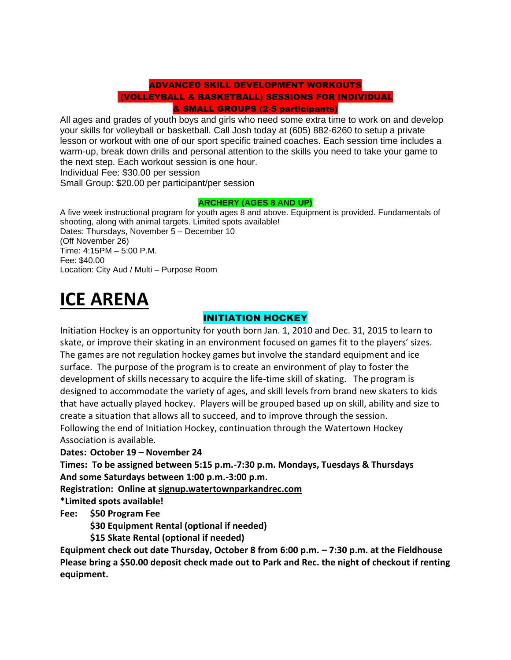## ADVANCED SKILL DEVELOPMENT WORKOUTS (VOLLEYBALL & BASKETBALL) SESSIONS FOR INDIVIDUAL & SMALL GROUPS (2-5 participants)

All ages and grades of youth boys and girls who need some extra time to work on and develop your skills for volleyball or basketball. Call Josh today at (605) 882-6260 to setup a private lesson or workout with one of our sport specific trained coaches. Each session time includes a warm-up, break down drills and personal attention to the skills you need to take your game to the next step. Each workout session is one hour. Individual Fee: \$30.00 per session

Small Group: \$20.00 per participant/per session

#### **ARCHERY (AGES 8 AND UP)**

A five week instructional program for youth ages 8 and above. Equipment is provided. Fundamentals of shooting, along with animal targets. Limited spots available! Dates: Thursdays, November 5 – December 10 (Off November 26) Time: 4:15PM – 5:00 P.M. Fee: \$40.00 Location: City Aud / Multi – Purpose Room

# **ICE ARENA**

## INITIATION HOCKEY

Initiation Hockey is an opportunity for youth born Jan. 1, 2010 and Dec. 31, 2015 to learn to skate, or improve their skating in an environment focused on games fit to the players' sizes. The games are not regulation hockey games but involve the standard equipment and ice surface. The purpose of the program is to create an environment of play to foster the development of skills necessary to acquire the life-time skill of skating. The program is designed to accommodate the variety of ages, and skill levels from brand new skaters to kids that have actually played hockey. Players will be grouped based up on skill, ability and size to create a situation that allows all to succeed, and to improve through the session. Following the end of Initiation Hockey, continuation through the Watertown Hockey Association is available.

**Dates: October 19 – November 24**

**Times: To be assigned between 5:15 p.m.-7:30 p.m. Mondays, Tuesdays & Thursdays And some Saturdays between 1:00 p.m.-3:00 p.m.**

**Registration: Online at signup.watertownparkandrec.com**

**\*Limited spots available!**

**Fee: \$50 Program Fee**

**\$30 Equipment Rental (optional if needed)**

**\$15 Skate Rental (optional if needed)**

**Equipment check out date Thursday, October 8 from 6:00 p.m. – 7:30 p.m. at the Fieldhouse Please bring a \$50.00 deposit check made out to Park and Rec. the night of checkout if renting equipment.**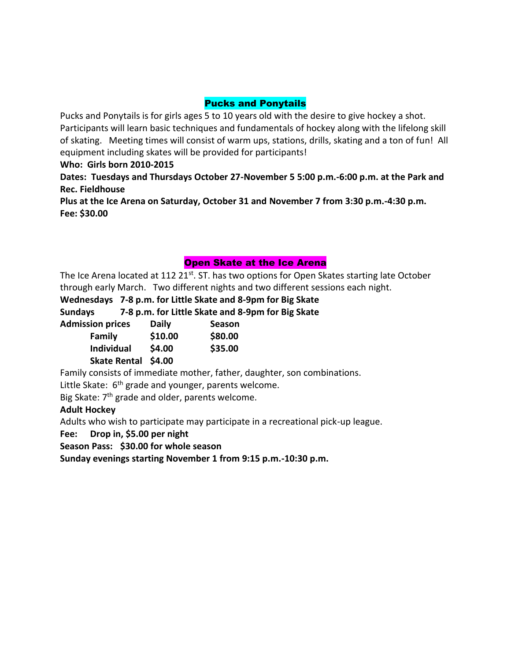## Pucks and Ponytails

Pucks and Ponytails is for girls ages 5 to 10 years old with the desire to give hockey a shot. Participants will learn basic techniques and fundamentals of hockey along with the lifelong skill of skating. Meeting times will consist of warm ups, stations, drills, skating and a ton of fun! All equipment including skates will be provided for participants!

**Who: Girls born 2010-2015**

**Dates: Tuesdays and Thursdays October 27-November 5 5:00 p.m.-6:00 p.m. at the Park and Rec. Fieldhouse**

**Plus at the Ice Arena on Saturday, October 31 and November 7 from 3:30 p.m.-4:30 p.m. Fee: \$30.00**

## Open Skate at the Ice Arena

The Ice Arena located at 112 21st. ST. has two options for Open Skates starting late October through early March. Two different nights and two different sessions each night.

**Wednesdays 7-8 p.m. for Little Skate and 8-9pm for Big Skate**

**Sundays 7-8 p.m. for Little Skate and 8-9pm for Big Skate**

| <b>Admission prices</b> | <b>Daily</b> | <b>Season</b> |
|-------------------------|--------------|---------------|
| Family                  | \$10.00      | \$80.00       |
| <b>Individual</b>       | \$4.00       | \$35.00       |
| Skate Rental \$4.00     |              |               |

Family consists of immediate mother, father, daughter, son combinations.

Little Skate:  $6<sup>th</sup>$  grade and younger, parents welcome.

Big Skate:  $7<sup>th</sup>$  grade and older, parents welcome.

#### **Adult Hockey**

Adults who wish to participate may participate in a recreational pick-up league.

**Fee: Drop in, \$5.00 per night**

**Season Pass: \$30.00 for whole season**

**Sunday evenings starting November 1 from 9:15 p.m.-10:30 p.m.**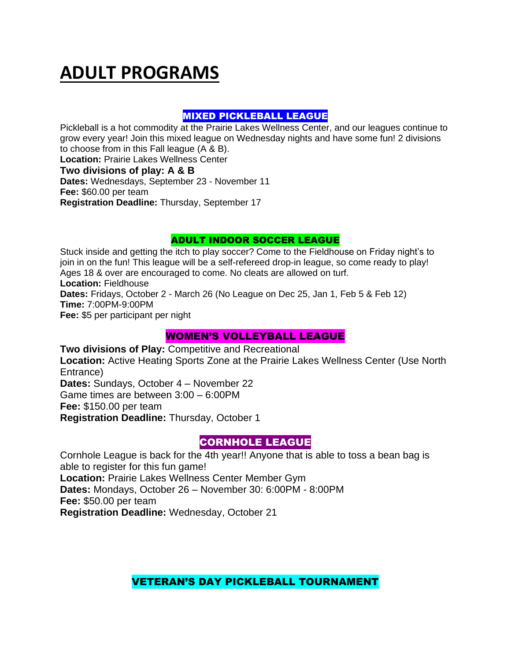# **ADULT PROGRAMS**

## MIXED PICKLEBALL LEAGUE

Pickleball is a hot commodity at the Prairie Lakes Wellness Center, and our leagues continue to grow every year! Join this mixed league on Wednesday nights and have some fun! 2 divisions to choose from in this Fall league (A & B).

**Location:** Prairie Lakes Wellness Center

## **Two divisions of play: A & B**

**Dates:** Wednesdays, September 23 - November 11 **Fee:** \$60.00 per team **Registration Deadline:** Thursday, September 17

## ADULT INDOOR SOCCER LEAGUE

Stuck inside and getting the itch to play soccer? Come to the Fieldhouse on Friday night's to join in on the fun! This league will be a self-refereed drop-in league, so come ready to play! Ages 18 & over are encouraged to come. No cleats are allowed on turf. **Location:** Fieldhouse **Dates:** Fridays, October 2 - March 26 (No League on Dec 25, Jan 1, Feb 5 & Feb 12) **Time:** 7:00PM-9:00PM **Fee:** \$5 per participant per night

## WOMEN'S VOLLEYBALL LEAGUE

**Two divisions of Play:** Competitive and Recreational **Location:** Active Heating Sports Zone at the Prairie Lakes Wellness Center (Use North Entrance) **Dates:** Sundays, October 4 – November 22 Game times are between 3:00 – 6:00PM **Fee:** \$150.00 per team **Registration Deadline:** Thursday, October 1

## CORNHOLE LEAGUE

Cornhole League is back for the 4th year!! Anyone that is able to toss a bean bag is able to register for this fun game! **Location:** Prairie Lakes Wellness Center Member Gym **Dates:** Mondays, October 26 – November 30: 6:00PM - 8:00PM **Fee:** \$50.00 per team **Registration Deadline:** Wednesday, October 21

VETERAN'S DAY PICKLEBALL TOURNAMENT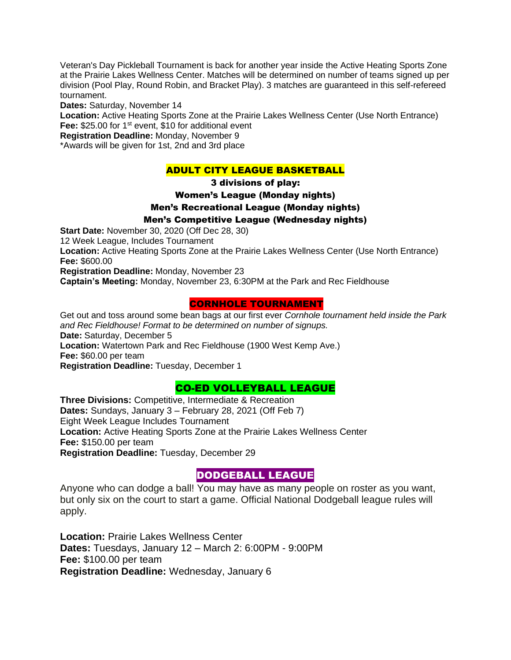Veteran's Day Pickleball Tournament is back for another year inside the Active Heating Sports Zone at the Prairie Lakes Wellness Center. Matches will be determined on number of teams signed up per division (Pool Play, Round Robin, and Bracket Play). 3 matches are guaranteed in this self-refereed tournament.

**Dates:** Saturday, November 14

**Location:** Active Heating Sports Zone at the Prairie Lakes Wellness Center (Use North Entrance) Fee: \$25.00 for 1<sup>st</sup> event, \$10 for additional event

**Registration Deadline:** Monday, November 9

\*Awards will be given for 1st, 2nd and 3rd place

## ADULT CITY LEAGUE BASKETBALL

3 divisions of play:

#### Women's League (Monday nights)

Men's Recreational League (Monday nights)

#### Men's Competitive League (Wednesday nights)

**Start Date:** November 30, 2020 (Off Dec 28, 30)

12 Week League, Includes Tournament

**Location:** Active Heating Sports Zone at the Prairie Lakes Wellness Center (Use North Entrance) **Fee:** \$600.00

**Registration Deadline:** Monday, November 23

**Captain's Meeting:** Monday, November 23, 6:30PM at the Park and Rec Fieldhouse

## CORNHOLE TOURNAMENT

Get out and toss around some bean bags at our first ever *Cornhole tournament held inside the Park and Rec Fieldhouse! Format to be determined on number of signups.*  **Date:** Saturday, December 5

**Location:** Watertown Park and Rec Fieldhouse (1900 West Kemp Ave.)

**Fee:** \$60.00 per team

**Registration Deadline:** Tuesday, December 1

## CO-ED VOLLEYBALL LEAGUE

**Three Divisions:** Competitive, Intermediate & Recreation **Dates:** Sundays, January 3 – February 28, 2021 (Off Feb 7) Eight Week League Includes Tournament **Location:** Active Heating Sports Zone at the Prairie Lakes Wellness Center **Fee:** \$150.00 per team

**Registration Deadline:** Tuesday, December 29

## DODGEBALL LEAGUE

Anyone who can dodge a ball! You may have as many people on roster as you want, but only six on the court to start a game. Official National Dodgeball league rules will apply.

**Location:** Prairie Lakes Wellness Center **Dates:** Tuesdays, January 12 – March 2: 6:00PM - 9:00PM **Fee:** \$100.00 per team **Registration Deadline:** Wednesday, January 6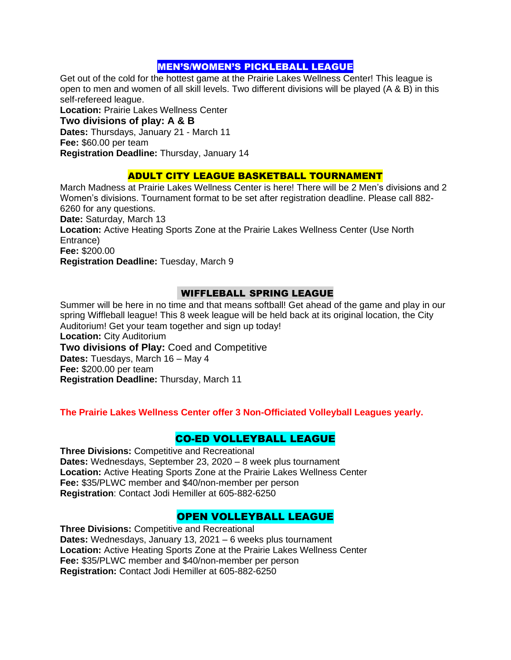## MEN'S/WOMEN'S PICKLEBALL LEAGUE

Get out of the cold for the hottest game at the Prairie Lakes Wellness Center! This league is open to men and women of all skill levels. Two different divisions will be played (A & B) in this self-refereed league.

**Location:** Prairie Lakes Wellness Center

**Two divisions of play: A & B**

**Dates:** Thursdays, January 21 - March 11

**Fee:** \$60.00 per team

**Registration Deadline:** Thursday, January 14

## ADULT CITY LEAGUE BASKETBALL TOURNAMENT

March Madness at Prairie Lakes Wellness Center is here! There will be 2 Men's divisions and 2 Women's divisions. Tournament format to be set after registration deadline. Please call 882-6260 for any questions.

**Date:** Saturday, March 13

**Location:** Active Heating Sports Zone at the Prairie Lakes Wellness Center (Use North Entrance)

**Fee:** \$200.00

**Registration Deadline:** Tuesday, March 9

## WIFFLEBALL SPRING LEAGUE

Summer will be here in no time and that means softball! Get ahead of the game and play in our spring Wiffleball league! This 8 week league will be held back at its original location, the City Auditorium! Get your team together and sign up today! **Location:** City Auditorium

**Two divisions of Play:** Coed and Competitive **Dates:** Tuesdays, March 16 – May 4 **Fee:** \$200.00 per team **Registration Deadline:** Thursday, March 11

**The Prairie Lakes Wellness Center offer 3 Non-Officiated Volleyball Leagues yearly.**

## CO-ED VOLLEYBALL LEAGUE

**Three Divisions:** Competitive and Recreational **Dates:** Wednesdays, September 23, 2020 – 8 week plus tournament **Location:** Active Heating Sports Zone at the Prairie Lakes Wellness Center **Fee:** \$35/PLWC member and \$40/non-member per person **Registration**: Contact Jodi Hemiller at 605-882-6250

## OPEN VOLLEYBALL LEAGUE

**Three Divisions:** Competitive and Recreational **Dates:** Wednesdays, January 13, 2021 – 6 weeks plus tournament **Location:** Active Heating Sports Zone at the Prairie Lakes Wellness Center **Fee:** \$35/PLWC member and \$40/non-member per person **Registration:** Contact Jodi Hemiller at 605-882-6250